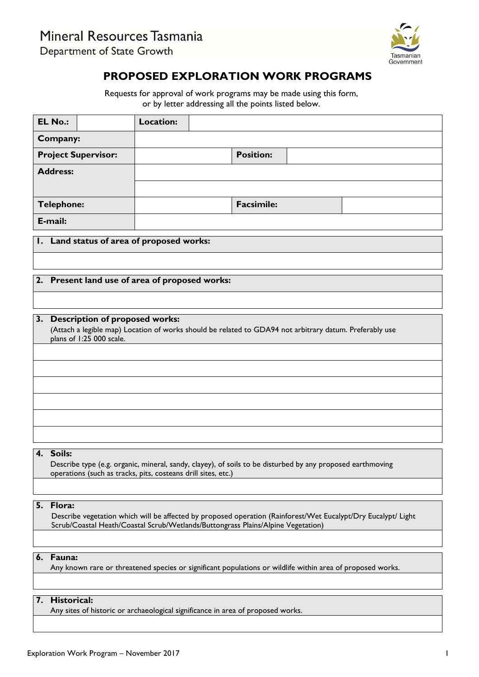Mineral Resources Tasmania

Department of State Growth



# **PROPOSED EXPLORATION WORK PROGRAMS**

Requests for approval of work programs may be made using this form, or by letter addressing all the points listed below.

| <b>EL No.:</b>                            |  | Location: |  |                   |  |  |  |  |
|-------------------------------------------|--|-----------|--|-------------------|--|--|--|--|
| Company:                                  |  |           |  |                   |  |  |  |  |
| <b>Project Supervisor:</b>                |  |           |  | <b>Position:</b>  |  |  |  |  |
| <b>Address:</b>                           |  |           |  |                   |  |  |  |  |
|                                           |  |           |  |                   |  |  |  |  |
| <b>Telephone:</b>                         |  |           |  | <b>Facsimile:</b> |  |  |  |  |
| E-mail:                                   |  |           |  |                   |  |  |  |  |
| I. Land status of area of proposed works: |  |           |  |                   |  |  |  |  |
|                                           |  |           |  |                   |  |  |  |  |

## **2. Present land use of area of proposed works:**

#### **3. Description of proposed works:**

(Attach a legible map) Location of works should be related to GDA94 not arbitrary datum. Preferably use plans of 1:25 000 scale.

#### **4. Soils:**

Describe type (e.g. organic, mineral, sandy, clayey), of soils to be disturbed by any proposed earthmoving operations (such as tracks, pits, costeans drill sites, etc.)

#### **5. Flora:**

Describe vegetation which will be affected by proposed operation (Rainforest/Wet Eucalypt/Dry Eucalypt/ Light Scrub/Coastal Heath/Coastal Scrub/Wetlands/Buttongrass Plains/Alpine Vegetation)

#### **6. Fauna:**

Any known rare or threatened species or significant populations or wildlife within area of proposed works.

#### **7. Historical:**

Any sites of historic or archaeological significance in area of proposed works.